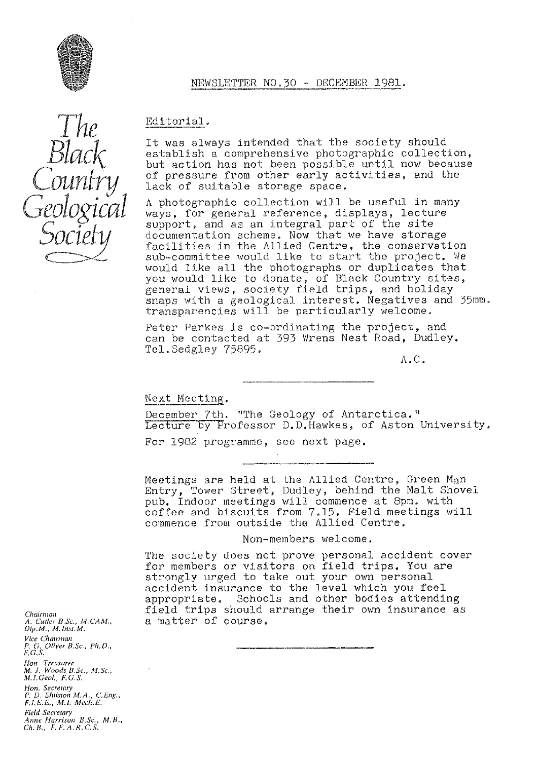

#### NEWSLETTER NO.30 - DECEMBER 1981.

Editorial.

It was always intended that the society should establish a *comprehensive* photographic collection, but action has not been possible until now because of pressure from other early activities, and the lack of suitable storage space,

A photographic collection will be useful in many ways, for general reference, displays, lecture support, and as an integral part of the site documentation scheme. Now that we have storage facilities in the Allied Centre, the conservation sub•-committee would like to start the project. We would like all the photographs or duplicates that you would like to donate, of Black Country sites, general views, society field trips, and holiday snaps with a geological interest, Negatives and 35mm. transparencies will be particularly welcome.

Peter Parkes is co-ordinating the project, and can be contacted at 393 Wrens Nest Road, Dudley. Tel.Sedgley 75895.

A.C.

# Next Meeting.

December 7th. "The Geology of Antarctica." Lecture by Professor D.D. Hawkes, of Aston University.

For 1982 programme, see next page.

Meetings are held at the Allied Centre, Green Man Entry, Tower Street, Dudley, behind the Malt Shovel pub. Indoor meetings will commence at 8pm. with coffee and biscuits from 7.15. Field meetings will commence from outside the Allied Centre.

#### Non-members welcome.

The society does not prove personal accident cover for members or visitors on field trips. You are strongly urged to take out your own personal accident insurance to the level which you feel *appropriate, Schools and other bodies* attending field trips should arrange their own Insurance as a matter of course.

*Chairman A. Culler B.Sc., M. CA M., Dip. M., M. Inst'* M. *Vice Chairman P. G. O(iver B.Sc., Ph.D" F. G. S. Hon. Treasurer M. J. Woods B,Sc., M,Se" M.1. Geol., F.G.S. Ho<sup>y</sup> t. Secretary P. D. Shrlston MA, C.Eng., F.I.E.G., Ml. Mech.E. Field Secretary Anne Harrison B.Sc., M, B., Cli. 13., F, F. A. R. C'. S.*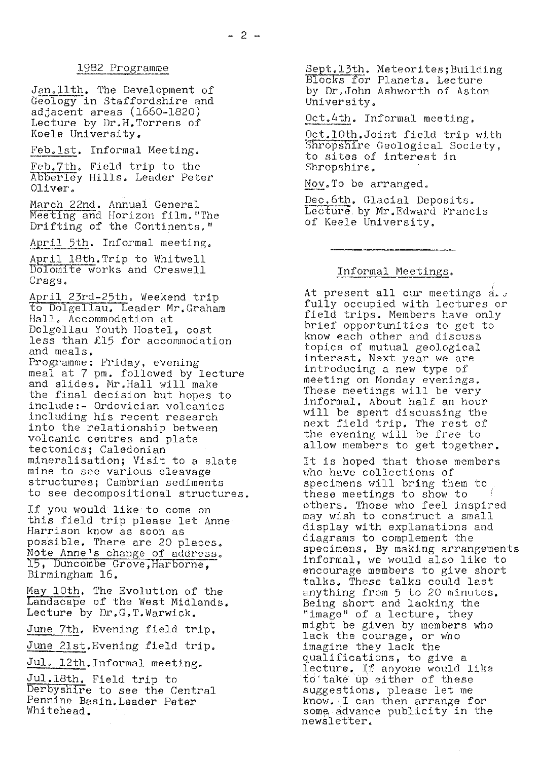# 1982 Programme

Jan.1lth. The Development of Geology in Staffordshire and adjacent areas (1660-1820) Lecture by Dr,H.Torrens of Keele University,

Feb.lst. Informal Meeting,

Feb,7th. Field trip to the Abberley Hills. Leader Peter Oliver

March 22nd, Annual General Meeting and Horizon film."The Drifting of the Continents."

April 5th. Informal meeting,

April 18th. Trip to Whitwell Dolomite works and Creswell Crags.

April 23rd-25th. Weekend trip to Dolgellau. Leader Mr,Graham Hall. Accommodation at Dolgellau Youth Hostel, cost less than  $£15$  for accommodation and meals.

Programme: Friday, evening meal at 7 pm. followed by lecture and slides. Mr.Hall will make the final decision but hopes to include:- Ordovician voicanics including his recent research into the relationship between volcanic centres and plate tectonics; Caledonian mineralisation; Visit to a slate mine to see various cleavage structures; Cambrian sediments to see decompositional structures.

If you would like: to come on this field trip please let Anne Harrison know as soon as possible. There are 20 places. Note Anne's change of address, 15, Duncombe Grove, Harborne, Birmingham 16.

May 10th. The Evolution of the Landscape of the West Midlands. Lecture by Dr.G.T.Warwick.

June 7th. Evening field trip.

June 2lst.Evening field trip.

 $J$ ul. 12th.Informal meeting.

Jul,l8th. Field trip to Der by shire to see the Central Pennine Basin.Leader Peter Whitehead.

Sept.13th. Meteorites; Building Blocks for Planets. Lecture by Dr.John Ashworth of Aston University.

Oct. 4th. Informal meeting.

Oct.10th.Joint field trip with Shropshire Geological Society, to sites of interest in Shropshire.

Nov.To be arranged.

Dec.6th. Glacial Deposits. Lecture. by Mr.Edward Francis of Keele University,

# Informal Meetings.

At present all our meetings  $\frac{1}{d}$ . fully occupied with lectures or field trips. Members have only brief opportunities to get to know each other and discuss topics of mutual geological interest. Next year we are introducing a new type of meeting on Monday evenings. These meetings will be very informal. About half an hour will be spent discussing the next field trip. The rest of the evening will be free to allow members to get together,

It is hoped that those members who have collections of specimens will bring them to these meetings to show to others. Those who feel inspired may wish to construct a small display with explanations and diagrams to complement the specimens. By making arrangements informal, we would also like to encourage members to give short talks, These talks could last anything from 5 to 20 minutes. Being short and lacking the "image" of a lecture, they might be given by members who lack the courage, or who imagine they lack the qualifications, to give a lecture. If anyone would like `to`take" up either of these suggestions, please let me know. I can then arrange for some, advance publicity in the newsletter.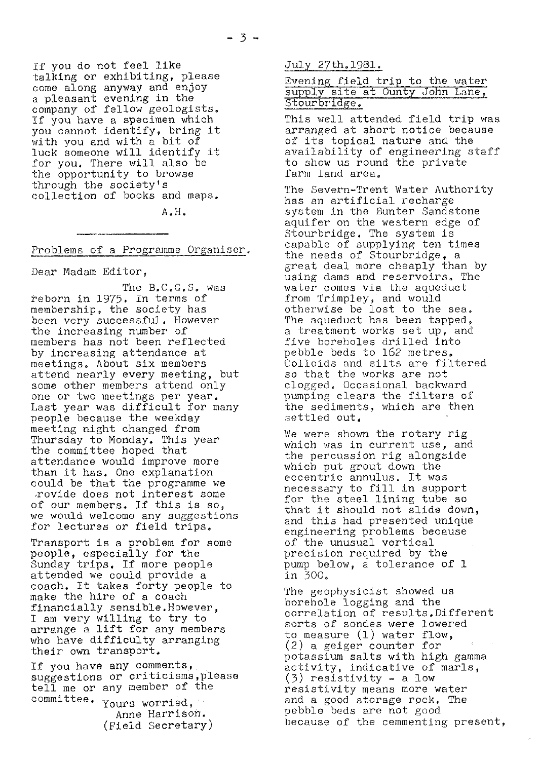if you do not feel like talking or exhibiting, please come along anyway and enjoy a pleasant evening in the company of fellow geologists. If you have a specimen which you cannot identify, bring it with you and with a bit of luck someone will identify it for you. There will also be the opportunity to browse through the society's collection of books and maps.

A.H.

Problems of a Programme Organiser.

Dear Madam Editor,

The B,C.G.S. was reborn in 1975. In terms of membership, the society has been very successful. However the increasing number of members has not been reflected by increasing attendance at meetings. About six members attend nearly every meeting, but some other members attend only one or two meetings per year. Last year was difficult for many people because the weekday meeting night changed from Thursday to Monday. This year the committee hoped that attendance would improve more than it has. One explanation could be that the programme we provide does not interest some of our members. If this is so, we would welcome any suggestions for lectures or field trips.

Transport is a problem for some people, especially for the Sunday trips. If more people attended we could provide a coach. It takes forty people to make the hire of a coach financially sensible.However, I am very willing to try to arrange a lift for any members who have difficulty arranging their own transport.

*If you have any* comments, *suggestions or criticisms ,please* tell me or any member of the

committee. Yours worried, Anne Harrison. (Field Secretary) July 27th.1981.

# Evening field trip to the water Evening lield trip to the water<br>supply site at Ounty John Lane, Stourbridge.

This well attended field trip was arranged at short notice because of its topical nature and the availability of engineering staff to show us round the private farm land area.

The Severn-Trent Water Authority has an artificial recharge system in the Bunter Sandstone aquifer on the western edge of Stourbridge. The system is *capable of supplying ten times* the needs of Stourbridge, a great deal more cheaply than by using dams and reservoirs. The *water comes via the* aqueduct from Trimpley, and would otherwise be lost to the sea. The aqueduct has been tapped, a treatment works set up, and five boreholes drilled into pebble beds to 162 metres. Colloids and silts are filtered so that the works are not clogged. Occasional backward pumping clears the filters of the sediments, which are then settled out.

We were shown the rotary rig which was in current use, and the percussion rig alongside which put grout down the eccentric annulus. It was necessary to fill in support for the steel lining tube so that it should not slide down, *and this* had presented unique engineering problems because of the unusual vertical precision required by the pump below, a tolerance of 1 in 300.

The geophysicist showed us borehole logging and the correlation of results.Different sorts of sondes were lowered to measure (1) water flow, (2) a geiger counter for potassium salts with high gamma activity, indicative of marls, (3) resistivity a low resistivity means more water and a good storage rock. The pebble beds are not good because of the cemmenting present,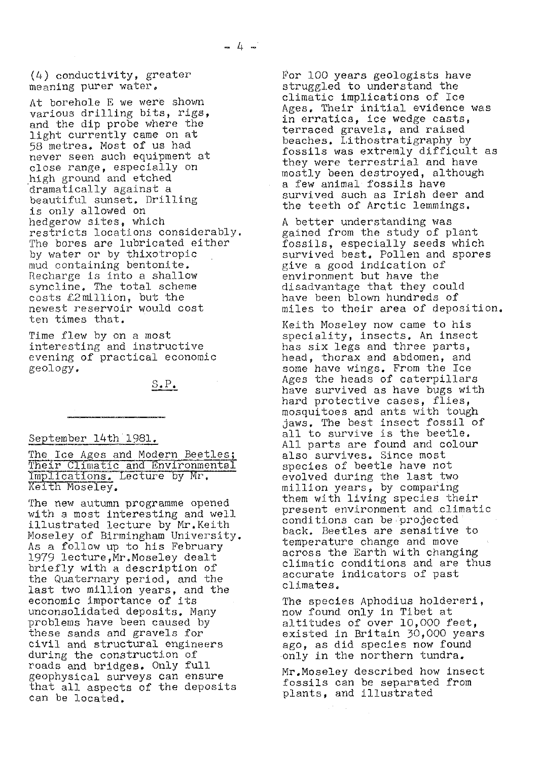(4) conductivity, greater meaning purer water,

At borehole E we were shown various drilling bits, rigs, and the dip probe where the light currently came on at 58 metres. Most of us had never seen such equipment at close range, especially on high ground and etched dramatically against a beautiful sunset. Drilling is only allowed on hedgerow sites, which restricts locations considerably. The bores are lubricated either by water or by thixotropic mud containing bentonite. Recharge is into a shallow syncline. The total scheme  $\texttt{costs}$   $\text{\&2}}$   $\texttt{mllion}$ , but the newest reservoir would cost ten times that.

Time flew by on a most interesting and instructive evening of practical economic geology.

 $S_{\bullet} P_{\bullet}$ 

#### September 14th 1981.

The Ice Ages and Modern Beetles;<br>Their Climatic and Environmental<br>Implications. Lecture by Mr. Keith Moseley.

The new autumn programme opened with a most interesting and well illustrated lecture by Mr.Keith Moseley of Birmingham University. As a follow up to his February 1979 lecture, Mr. Moseley dealt briefly with a description of the Quaternary period, and the last two million years, and the economic importance of its unconsolidated deposits. Many problems have been caused by these sands and gravels for civil and structural engineers during the construction of roads and bridges. Only full geophysical surveys can ensure that all aspects of the deposits can be located.

For 100 years geologists have struggled to understand the climatic implications of Ice Ages. Their initial evidence was in erratics, ice wedge casts, terraced gravels, and raised beaches. Lithostratigraphy by fossils was extremly difficult as they were terrestrial and have mostly been destroyed, although a few animal fossils have survived such as Irish deer and the teeth of Arctic lemmings.

A better understanding was gained from the study of plant fossils, especially seeds which survived best. Pollen and spores give a good indication of environment but have the disadvantage that they could have been blown hundreds of miles to their area of deposition.

Keith Moseley now came to his speciality, insects. An insect has six legs and three parts, head, thorax and abdomen, and some have wings. From the Ice Ages the heads of caterpillars have survived as have bugs with hard protective cases, flies, mosquitoes and ants with tough jaws. The best insect fossil of all to survive is the beetle. All parts are found and colour also survives. Since most species of beetle have not evolved during the last two million years, by comparing them with living species their present environment and climatic conditions can be projected back. Beetles are sensitive to temperature change and move across the Earth with changing climatic conditions and are thus accurate indicators of past climates,

The species Aphodius holdereri, now found only in Tibet at altitudes of over 10,000 feet, existed in Britain 30,000 years ago, as did species now found only in the northern tundra.

Mr,Moseley described how insect fossils can be separated from plants, and illustrated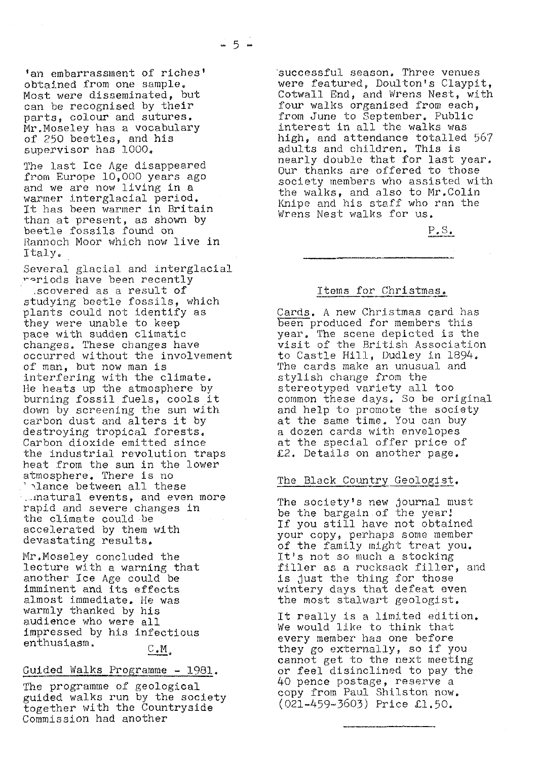'an embarrassment of riches' obtained from one sample. Most were disseminated, but can be recognised by their parts, colour and sutures. Mr.Moseley has a vocabulary of 250 beetles, and his supervisor has 1000.

The last Ice Age disappeared from Europe 10,000 years ago and we are now living in a warmer interglacial period. It has been warmer in Britain than at present, as shown by beetle fossils found on Rannoch Moor which now live in Italy.

Several glacial and interglacial reriods have been recently .scovered as a result of studying beetle fossils, which plants could not identify as they were unable to keep pace with sudden climatic changes. These changes have occurred without the involvement of man, but now man is interfering with the climate. He heats up the atmosphere by burning fossil fuels, cools it down by screening the sun with carbon dust and alters it by destroying tropical forests. Carbon dioxide emitted since the industrial revolution traps heat from the sun in the lower atmosphere. There is no lance between all these

... matural events, and even more rapid and severe changes in the climate could be accelerated by them with devastating results.

Mr.Moseley concluded the lecture with a warning that another Ice Age could be imminent and its effects almost immediate. He was warmly thanked by his audience who were all impressed by his infectious enthusiasm.  $C.M.$ 

### Guided Walks Programme - 1981.

The programme of geological guided walks run by the society together with the Countryside Commission had another

successful season. Three venues were featured, Doulton's Claypit, Cotwall End, and Wrens Nest, with four walks organised from each, from June to September, Public interest in all the walks was high, and attendance totalled 567 adults and children. This is nearly double that for last year. Our thanks are offered to those society members who assisted with the walks, and also to Mr.Colin Knipe and his staff who ran the Wrens Nest walks for us.

P.S.

#### Items for Christmas.

Cards. A new Christmas card has been produced for members this year. The scene depicted is the visit of the British Association to Castle Hill, Dudley in 1894. The cards make an unusual and stylish change from the stereotyped variety all too common these days. So be original and help to promote the society at the same time. You can buy a dozen cards with envelopes at the special offer price of<br>*£2*. Details on another page.

# The Black Country Geologist.

The society's new journal must be the bargain.of the year If you still have not obtained your copy, perhaps some member of the family might treat you. It's not so much a stocking filler as a rucksack filler, and is just the thing for those wintery days that defeat even the most stalwart geologist.

It really is a limited edition. We would like to think that every member has one before they go externally, so if you cannot get to the next meeting or feel disinclined to pay the 40 pence postage, reserve a copy from Paul Shilston now. ( 021-459-3603) Price £1.50®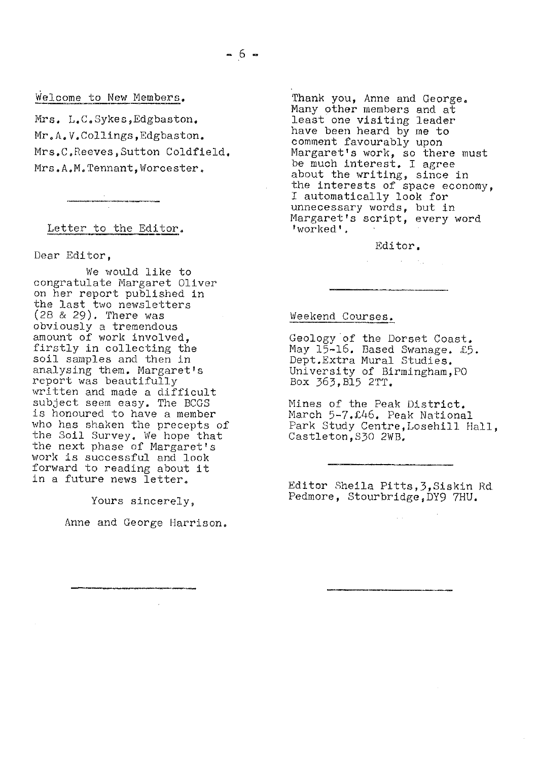# Welcome to New Members.

Mrs. L.C,Sykes,Edgbaston, Mr.A. V.Collings, Edgbaston. Mrs.C.Reeves, Sutton Coldfield. Mrs.A.M.Tennant, Worcester.

#### Letter to the Editor.

Dear Editor,

We would like to congratulate Margaret Oliver on her report published in the last two newsletters (28 & 29). There was obviously a tremendous amount of work involved, firstly in collecting the soil samples and then in analysing them. Margaret's report was beautifully written and made a difficult *subject seem easy. The BCGS* is honoured to have a member who has shaken the precepts of the Soil Survey. We hope that the next phase of Margaret's work is successful and look forward to reading about it in a future news letter.

Yours sincerely,

Anne and George Harrison,

Thank you, Anne and George. Many other members and at least one visiting leader have been heard by me to comment favourably upon Margaret's work, so there must be much interest. I agree about the writing, since in the interests of space economy, I automatically look for unnecessary words, but in Margaret's script, every word 'worked'.

#### Editor.

 $\mathcal{L}^{\text{max}}_{\text{max}}$  , where  $\mathcal{L}^{\text{max}}_{\text{max}}$ 

# Weekend Courses.

Geology of the Dorset Coast, May 15-16. Based Swanage. £5. Dept.Extra Mural Studies. University of Birmingham,PO Box 363,B15 2TT.

Mines of the Peak District, March 5-7.£46. Peak National Park Study Centre,Losehill Hall, Castleton,S30 2WB,

Editor Sheila Pitts,3,Siskin Rd Pedmore, Stourbridge,DY9 7HU.